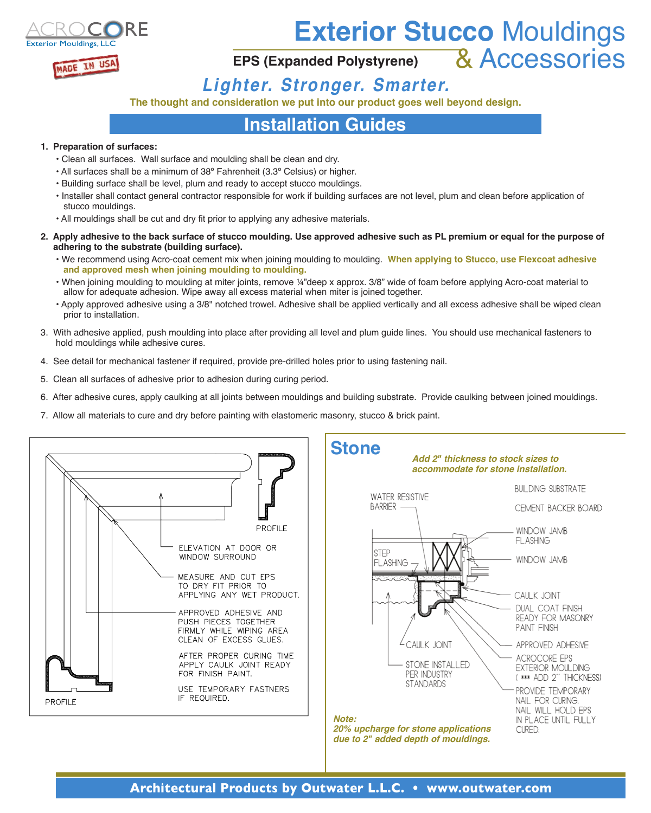

# **Exterior Stucco** Mouldings

## **EPS (Expanded Polystyrene)** & Accessories

### *Lighter. Stronger. Smarter.*

**The thought and consideration we put into our product goes well beyond design.**

#### **Installation Guides**

#### **1. Preparation of surfaces:**

- Clean all surfaces. Wall surface and moulding shall be clean and dry.
- All surfaces shall be a minimum of 38º Fahrenheit (3.3º Celsius) or higher.
- Building surface shall be level, plum and ready to accept stucco mouldings.
- Installer shall contact general contractor responsible for work if building surfaces are not level, plum and clean before application of stucco mouldings.
- All mouldings shall be cut and dry fit prior to applying any adhesive materials.
- **2. Apply adhesive to the back surface of stucco moulding. Use approved adhesive such as PL premium or equal for the purpose of adhering to the substrate (building surface).**
	- We recommend using Acro-coat cement mix when joining moulding to moulding. **When applying to Stucco, use Flexcoat adhesive and approved mesh when joining moulding to moulding.**
	- When joining moulding to moulding at miter joints, remove ¼"deep x approx. 3/8" wide of foam before applying Acro-coat material to allow for adequate adhesion. Wipe away all excess material when miter is joined together.
	- Apply approved adhesive using a 3/8" notched trowel. Adhesive shall be applied vertically and all excess adhesive shall be wiped clean prior to installation.
- 3. With adhesive applied, push moulding into place after providing all level and plum guide lines. You should use mechanical fasteners to hold mouldings while adhesive cures.
- 4. See detail for mechanical fastener if required, provide pre-drilled holes prior to using fastening nail.
- 5. Clean all surfaces of adhesive prior to adhesion during curing period.
- 6. After adhesive cures, apply caulking at all joints between mouldings and building substrate. Provide caulking between joined mouldings.
- 7. Allow all materials to cure and dry before painting with elastomeric masonry, stucco & brick paint.



*20% upcharge for stone applications due to 2" added depth of mouldings.*